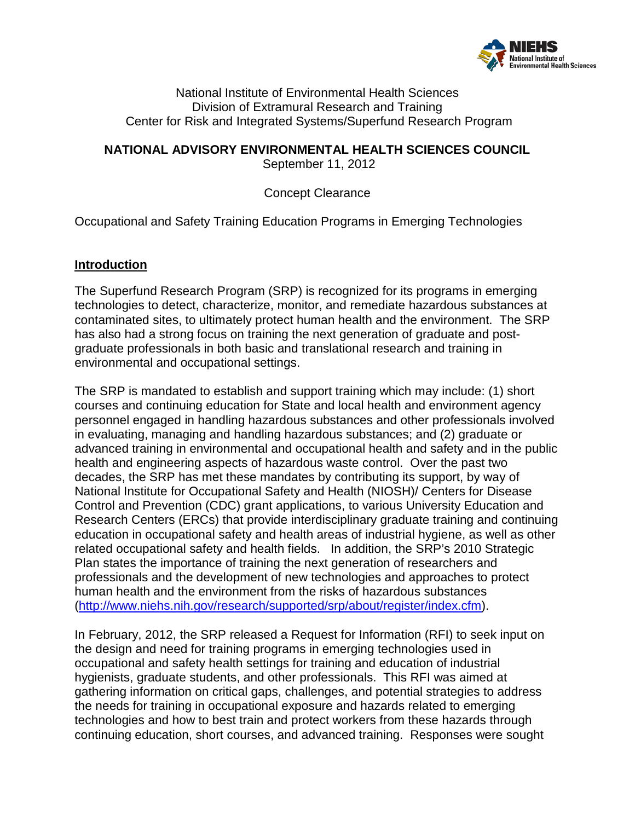

National Institute of Environmental Health Sciences Division of Extramural Research and Training Center for Risk and Integrated Systems/Superfund Research Program

**NATIONAL ADVISORY ENVIRONMENTAL HEALTH SCIENCES COUNCIL**

September 11, 2012

Concept Clearance

Occupational and Safety Training Education Programs in Emerging Technologies

## **Introduction**

The Superfund Research Program (SRP) is recognized for its programs in emerging technologies to detect, characterize, monitor, and remediate hazardous substances at contaminated sites, to ultimately protect human health and the environment. The SRP has also had a strong focus on training the next generation of graduate and postgraduate professionals in both basic and translational research and training in environmental and occupational settings.

The SRP is mandated to establish and support training which may include: (1) short courses and continuing education for State and local health and environment agency personnel engaged in handling hazardous substances and other professionals involved in evaluating, managing and handling hazardous substances; and (2) graduate or advanced training in environmental and occupational health and safety and in the public health and engineering aspects of hazardous waste control. Over the past two decades, the SRP has met these mandates by contributing its support, by way of National Institute for Occupational Safety and Health (NIOSH)/ Centers for Disease Control and Prevention (CDC) grant applications, to various University Education and Research Centers (ERCs) that provide interdisciplinary graduate training and continuing education in occupational safety and health areas of industrial hygiene, as well as other related occupational safety and health fields. In addition, the SRP's 2010 Strategic Plan states the importance of training the next generation of researchers and professionals and the development of new technologies and approaches to protect human health and the environment from the risks of hazardous substances [\(http://www.niehs.nih.gov/research/supported/srp/about/register/index.cfm\)](http://www.niehs.nih.gov/research/supported/srp/about/register/index.cfm).

In February, 2012, the SRP released a Request for Information (RFI) to seek input on the design and need for training programs in emerging technologies used in occupational and safety health settings for training and education of industrial hygienists, graduate students, and other professionals. This RFI was aimed at gathering information on critical gaps, challenges, and potential strategies to address the needs for training in occupational exposure and hazards related to emerging technologies and how to best train and protect workers from these hazards through continuing education, short courses, and advanced training. Responses were sought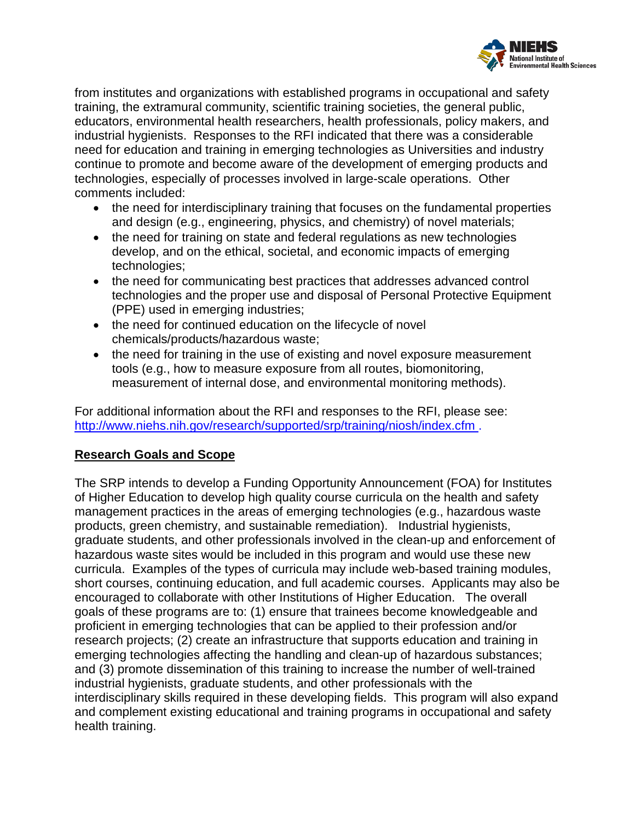

from institutes and organizations with established programs in occupational and safety training, the extramural community, scientific training societies, the general public, educators, environmental health researchers, health professionals, policy makers, and industrial hygienists. Responses to the RFI indicated that there was a considerable need for education and training in emerging technologies as Universities and industry continue to promote and become aware of the development of emerging products and technologies, especially of processes involved in large-scale operations. Other comments included:

- the need for interdisciplinary training that focuses on the fundamental properties and design (e.g., engineering, physics, and chemistry) of novel materials;
- the need for training on state and federal regulations as new technologies develop, and on the ethical, societal, and economic impacts of emerging technologies;
- the need for communicating best practices that addresses advanced control technologies and the proper use and disposal of Personal Protective Equipment (PPE) used in emerging industries;
- the need for continued education on the lifecycle of novel chemicals/products/hazardous waste;
- the need for training in the use of existing and novel exposure measurement tools (e.g., how to measure exposure from all routes, biomonitoring, measurement of internal dose, and environmental monitoring methods).

For additional information about the RFI and responses to the RFI, please see: <http://www.niehs.nih.gov/research/supported/srp/training/niosh/index.cfm> .

## **Research Goals and Scope**

The SRP intends to develop a Funding Opportunity Announcement (FOA) for Institutes of Higher Education to develop high quality course curricula on the health and safety management practices in the areas of emerging technologies (e.g., hazardous waste products, green chemistry, and sustainable remediation). Industrial hygienists, graduate students, and other professionals involved in the clean-up and enforcement of hazardous waste sites would be included in this program and would use these new curricula. Examples of the types of curricula may include web-based training modules, short courses, continuing education, and full academic courses. Applicants may also be encouraged to collaborate with other Institutions of Higher Education. The overall goals of these programs are to: (1) ensure that trainees become knowledgeable and proficient in emerging technologies that can be applied to their profession and/or research projects; (2) create an infrastructure that supports education and training in emerging technologies affecting the handling and clean-up of hazardous substances; and (3) promote dissemination of this training to increase the number of well-trained industrial hygienists, graduate students, and other professionals with the interdisciplinary skills required in these developing fields. This program will also expand and complement existing educational and training programs in occupational and safety health training.